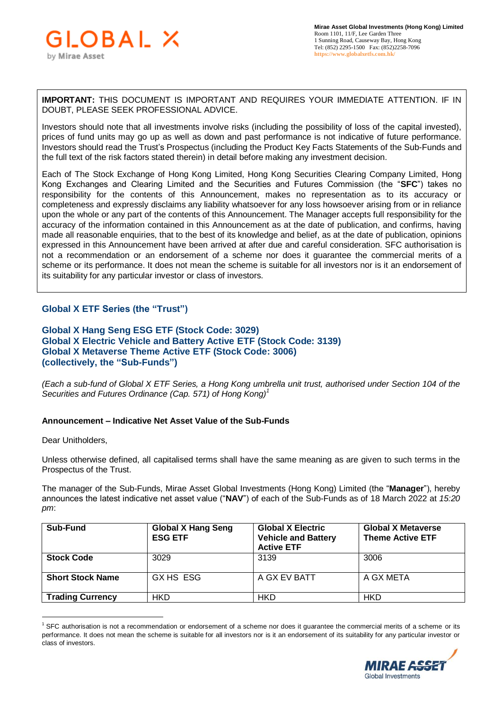**IMPORTANT:** THIS DOCUMENT IS IMPORTANT AND REQUIRES YOUR IMMEDIATE ATTENTION. IF IN DOUBT, PLEASE SEEK PROFESSIONAL ADVICE.

Investors should note that all investments involve risks (including the possibility of loss of the capital invested), prices of fund units may go up as well as down and past performance is not indicative of future performance. Investors should read the Trust's Prospectus (including the Product Key Facts Statements of the Sub-Funds and the full text of the risk factors stated therein) in detail before making any investment decision.

Each of The Stock Exchange of Hong Kong Limited, Hong Kong Securities Clearing Company Limited, Hong Kong Exchanges and Clearing Limited and the Securities and Futures Commission (the "**SFC**") takes no responsibility for the contents of this Announcement, makes no representation as to its accuracy or completeness and expressly disclaims any liability whatsoever for any loss howsoever arising from or in reliance upon the whole or any part of the contents of this Announcement. The Manager accepts full responsibility for the accuracy of the information contained in this Announcement as at the date of publication, and confirms, having made all reasonable enquiries, that to the best of its knowledge and belief, as at the date of publication, opinions expressed in this Announcement have been arrived at after due and careful consideration. SFC authorisation is not a recommendation or an endorsement of a scheme nor does it guarantee the commercial merits of a scheme or its performance. It does not mean the scheme is suitable for all investors nor is it an endorsement of its suitability for any particular investor or class of investors.

## **Global X ETF Series (the "Trust")**

## **Global X Hang Seng ESG ETF (Stock Code: 3029) Global X Electric Vehicle and Battery Active ETF (Stock Code: 3139) Global X Metaverse Theme Active ETF (Stock Code: 3006) (collectively, the "Sub-Funds")**

*(Each a sub-fund of Global X ETF Series, a Hong Kong umbrella unit trust, authorised under Section 104 of the Securities and Futures Ordinance (Cap. 571) of Hong Kong)<sup>1</sup>*

## **Announcement – Indicative Net Asset Value of the Sub-Funds**

Dear Unitholders,

 $\overline{a}$ 

Unless otherwise defined, all capitalised terms shall have the same meaning as are given to such terms in the Prospectus of the Trust.

The manager of the Sub-Funds, Mirae Asset Global Investments (Hong Kong) Limited (the "**Manager**"), hereby announces the latest indicative net asset value ("**NAV**") of each of the Sub-Funds as of 18 March 2022 at *15:20 pm*:

| Sub-Fund                | <b>Global X Hang Seng</b><br><b>ESG ETF</b> | <b>Global X Electric</b><br><b>Vehicle and Battery</b><br><b>Active ETF</b> | <b>Global X Metaverse</b><br><b>Theme Active ETF</b> |
|-------------------------|---------------------------------------------|-----------------------------------------------------------------------------|------------------------------------------------------|
| <b>Stock Code</b>       | 3029                                        | 3139                                                                        | 3006                                                 |
| <b>Short Stock Name</b> | GX HS ESG                                   | A GX EV BATT                                                                | A GX META                                            |
| <b>Trading Currency</b> | HKD                                         | HKD                                                                         | <b>HKD</b>                                           |

<sup>&</sup>lt;sup>1</sup> SFC authorisation is not a recommendation or endorsement of a scheme nor does it guarantee the commercial merits of a scheme or its performance. It does not mean the scheme is suitable for all investors nor is it an endorsement of its suitability for any particular investor or class of investors.